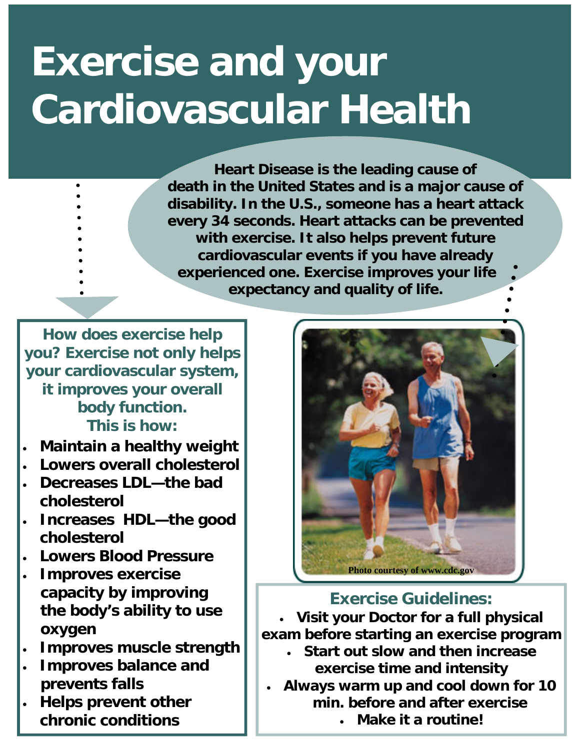# **Exercise and your Cardiovascular Health**

**Heart Disease is the leading cause of death in the United States and is a major cause of disability. In the U.S., someone has a heart attack every 34 seconds. Heart attacks can be prevented with exercise. It also helps prevent future cardiovascular events if you have already experienced one. Exercise improves your life expectancy and quality of life.** 

**How does exercise help you? Exercise not only helps your cardiovascular system, it improves your overall body function. This is how:** 

- **Maintain a healthy weight**
- **Lowers overall cholesterol**
- **Decreases LDL—the bad cholesterol**
- **Increases HDL—the good cholesterol**
- **Lowers Blood Pressure**
- **Improves exercise capacity by improving the body's ability to use oxygen**
- **Improves muscle strength**
- **Improves balance and prevents falls**
- **Helps prevent other chronic conditions**



**Exercise Guidelines: Visit your Doctor for a full physical exam before starting an exercise program Start out slow and then increase exercise time and intensity Always warm up and cool down for 10 min. before and after exercise Make it a routine!**